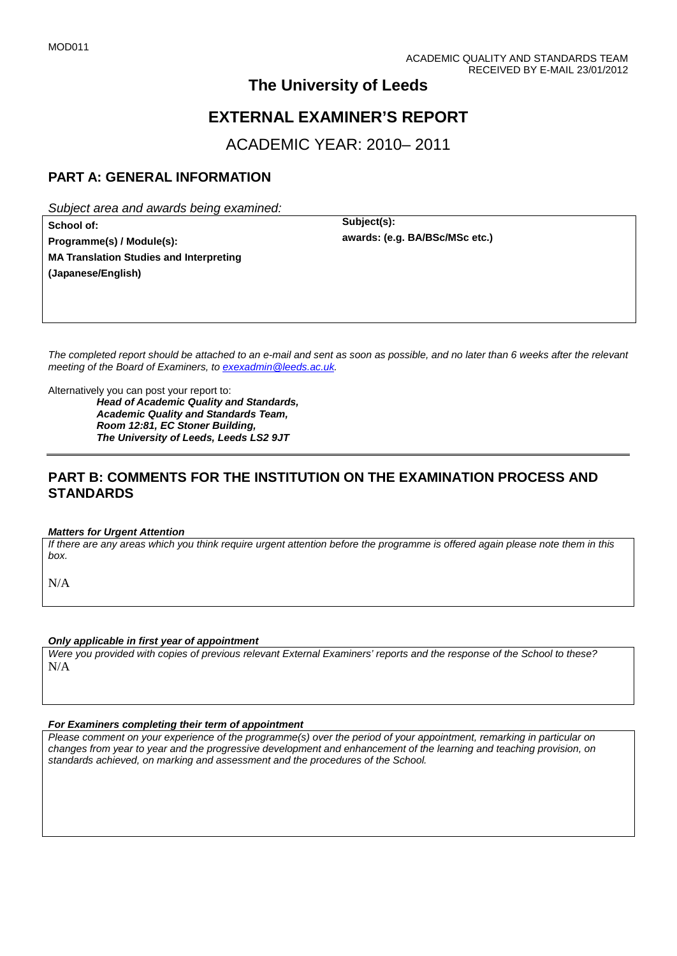## **The University of Leeds**

# **EXTERNAL EXAMINER'S REPORT**

ACADEMIC YEAR: 2010– 2011

## **PART A: GENERAL INFORMATION**

*Subject area and awards being examined:*

**School of: Subject(s): Programme(s) / Module(s): MA Translation Studies and Interpreting (Japanese/English)**

**awards: (e.g. BA/BSc/MSc etc.)**

*The completed report should be attached to an e-mail and sent as soon as possible, and no later than 6 weeks after the relevant meeting of the Board of Examiners, to [exexadmin@leeds.ac.uk.](mailto:exexadmin@leeds.ac.uk)*

Alternatively you can post your report to:

*Head of Academic Quality and Standards, Academic Quality and Standards Team, Room 12:81, EC Stoner Building, The University of Leeds, Leeds LS2 9JT*

### **PART B: COMMENTS FOR THE INSTITUTION ON THE EXAMINATION PROCESS AND STANDARDS**

#### *Matters for Urgent Attention*

*If there are any areas which you think require urgent attention before the programme is offered again please note them in this box.*

N/A

#### *Only applicable in first year of appointment*

*Were you provided with copies of previous relevant External Examiners' reports and the response of the School to these?*  N/A

#### *For Examiners completing their term of appointment*

*Please comment on your experience of the programme(s) over the period of your appointment, remarking in particular on changes from year to year and the progressive development and enhancement of the learning and teaching provision, on standards achieved, on marking and assessment and the procedures of the School.*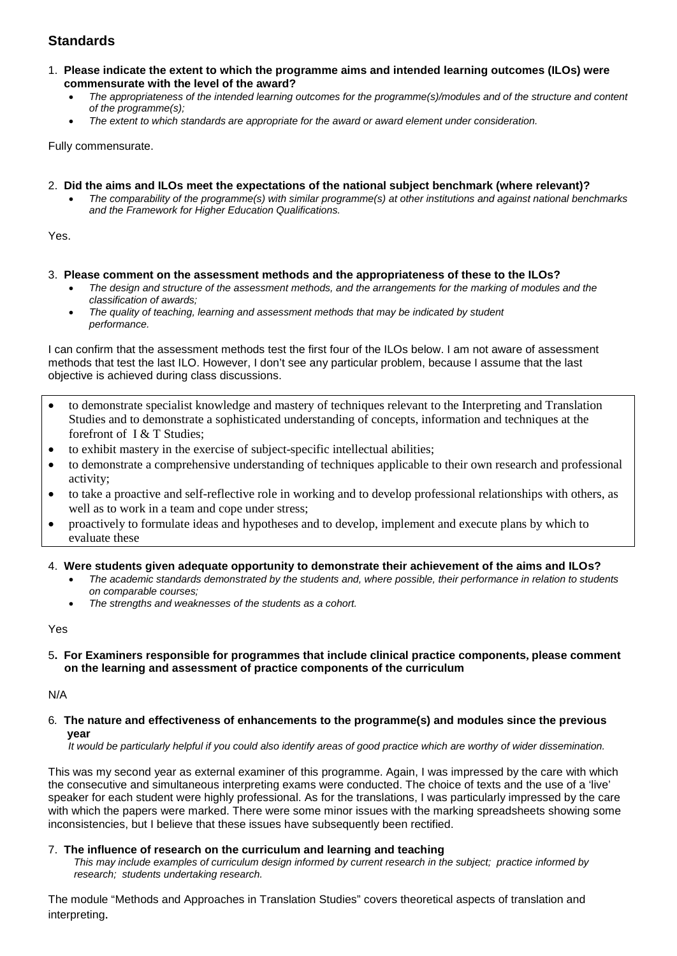## **Standards**

- 1. **Please indicate the extent to which the programme aims and intended learning outcomes (ILOs) were commensurate with the level of the award?**
	- *The appropriateness of the intended learning outcomes for the programme(s)/modules and of the structure and content of the programme(s);*
	- *The extent to which standards are appropriate for the award or award element under consideration.*

Fully commensurate.

- 2. **Did the aims and ILOs meet the expectations of the national subject benchmark (where relevant)?**
	- *The comparability of the programme(s) with similar programme(s) at other institutions and against national benchmarks and the Framework for Higher Education Qualifications.*

Yes.

- 3. **Please comment on the assessment methods and the appropriateness of these to the ILOs?**
	- *The design and structure of the assessment methods, and the arrangements for the marking of modules and the classification of awards;*
	- *The quality of teaching, learning and assessment methods that may be indicated by student performance.*

I can confirm that the assessment methods test the first four of the ILOs below. I am not aware of assessment methods that test the last ILO. However, I don't see any particular problem, because I assume that the last objective is achieved during class discussions.

- to demonstrate specialist knowledge and mastery of techniques relevant to the Interpreting and Translation Studies and to demonstrate a sophisticated understanding of concepts, information and techniques at the forefront of I & T Studies;
- to exhibit mastery in the exercise of subject-specific intellectual abilities;
- to demonstrate a comprehensive understanding of techniques applicable to their own research and professional activity;
- to take a proactive and self-reflective role in working and to develop professional relationships with others, as well as to work in a team and cope under stress;
- proactively to formulate ideas and hypotheses and to develop, implement and execute plans by which to evaluate these
- 4. **Were students given adequate opportunity to demonstrate their achievement of the aims and ILOs?**
	- *The academic standards demonstrated by the students and, where possible, their performance in relation to students on comparable courses;*
	- *The strengths and weaknesses of the students as a cohort.*

Yes

5**. For Examiners responsible for programmes that include clinical practice components, please comment on the learning and assessment of practice components of the curriculum**

N/A

6*.* **The nature and effectiveness of enhancements to the programme(s) and modules since the previous year**

 *It would be particularly helpful if you could also identify areas of good practice which are worthy of wider dissemination.* 

This was my second year as external examiner of this programme. Again, I was impressed by the care with which the consecutive and simultaneous interpreting exams were conducted. The choice of texts and the use of a 'live' speaker for each student were highly professional. As for the translations, I was particularly impressed by the care with which the papers were marked. There were some minor issues with the marking spreadsheets showing some inconsistencies, but I believe that these issues have subsequently been rectified.

#### 7.**The influence of research on the curriculum and learning and teaching**

 *This may include examples of curriculum design informed by current research in the subject; practice informed by research; students undertaking research.* 

The module "Methods and Approaches in Translation Studies" covers theoretical aspects of translation and interpreting.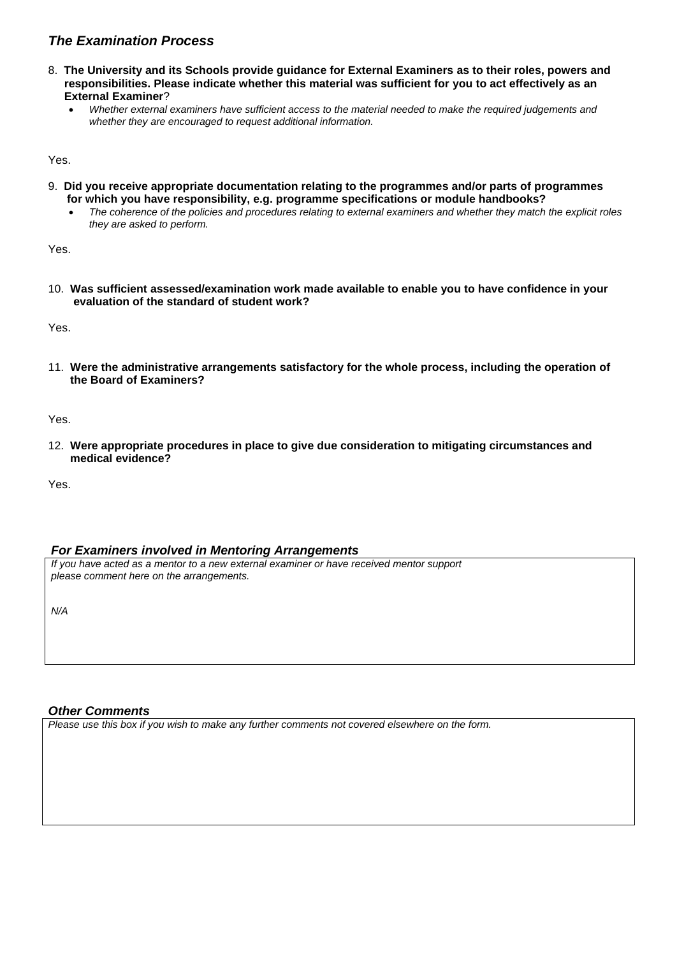### *The Examination Process*

- 8. **The University and its Schools provide guidance for External Examiners as to their roles, powers and responsibilities. Please indicate whether this material was sufficient for you to act effectively as an External Examiner**?
	- *Whether external examiners have sufficient access to the material needed to make the required judgements and whether they are encouraged to request additional information.*

Yes.

- 9. **Did you receive appropriate documentation relating to the programmes and/or parts of programmes for which you have responsibility, e.g. programme specifications or module handbooks?**
	- *The coherence of the policies and procedures relating to external examiners and whether they match the explicit roles they are asked to perform.*

Yes.

10. **Was sufficient assessed/examination work made available to enable you to have confidence in your evaluation of the standard of student work?**

Yes.

11. **Were the administrative arrangements satisfactory for the whole process, including the operation of the Board of Examiners?**

Yes.

12. **Were appropriate procedures in place to give due consideration to mitigating circumstances and medical evidence?**

Yes.

#### *For Examiners involved in Mentoring Arrangements*

*If you have acted as a mentor to a new external examiner or have received mentor support please comment here on the arrangements.*

*N/A*

### *Other Comments*

*Please use this box if you wish to make any further comments not covered elsewhere on the form.*